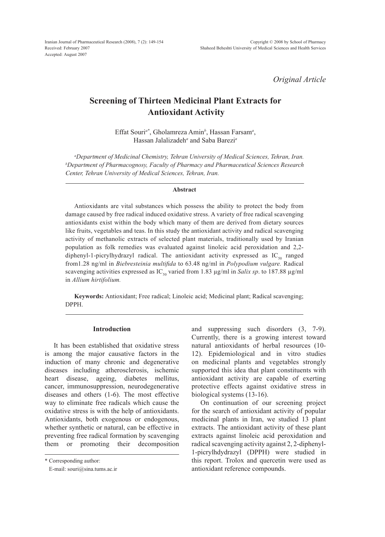*Original Article*

# **Screening of Thirteen Medicinal Plant Extracts for Antioxidant Activity**

Effat Souri*a\**, Gholamreza Amin*<sup>b</sup>* , Hassan Farsam*<sup>a</sup>* , Hassan Jalalizadeh*<sup>a</sup>* and Saba Barezi*<sup>a</sup>*

*a Department of Medicinal Chemistry, Tehran University of Medical Sciences, Tehran, Iran. b Department of Pharmacognosy, Faculty of Pharmacy and Pharmaceutical Sciences Research Center, Tehran University of Medical Sciences, Tehran, Iran.*

## **Abstract**

Antioxidants are vital substances which possess the ability to protect the body from damage caused by free radical induced oxidative stress. A variety of free radical scavenging antioxidants exist within the body which many of them are derived from dietary sources like fruits, vegetables and teas. In this study the antioxidant activity and radical scavenging activity of methanolic extracts of selected plant materials, traditionally used by Iranian population as folk remedies was evaluated against linoleic acid peroxidation and 2,2 diphenyl-1-picrylhydrazyl radical. The antioxidant activity expressed as  $IC_{50}$  ranged from1.28 ng/ml in *Biebresteinia multifida* to 63.48 ng/ml in *Polypodium vulgare.* Radical scavenging activities expressed as  $IC_{50}$  varied from 1.83  $\mu$ g/ml in *Salix sp*. to 187.88  $\mu$ g/ml in *Allium hirtifolium.* 

**Keywords:** Antioxidant; Free radical; Linoleic acid; Medicinal plant; Radical scavenging; DPPH.

## **Introduction**

It has been established that oxidative stress is among the major causative factors in the induction of many chronic and degenerative diseases including atherosclerosis, ischemic heart disease, ageing, diabetes mellitus, cancer, immunosuppression, neurodegenerative diseases and others (1-6). The most effective way to eliminate free radicals which cause the oxidative stress is with the help of antioxidants. Antioxidants, both exogenous or endogenous, whether synthetic or natural, can be effective in preventing free radical formation by scavenging them or promoting their decomposition

\* Corresponding author:

E-mail: souri@sina.tums.ac.ir

and suppressing such disorders (3, 7-9). Currently, there is a growing interest toward natural antioxidants of herbal resources (10- 12). Epidemiological and in vitro studies on medicinal plants and vegetables strongly supported this idea that plant constituents with antioxidant activity are capable of exerting protective effects against oxidative stress in biological systems (13-16).

On continuation of our screening project for the search of antioxidant activity of popular medicinal plants in Iran, we studied 13 plant extracts. The antioxidant activity of these plant extracts against linoleic acid peroxidation and radical scavenging activity against 2, 2-diphenyl-1-picrylhdydrazyl (DPPH) were studied in this report. Trolox and quercetin were used as antioxidant reference compounds.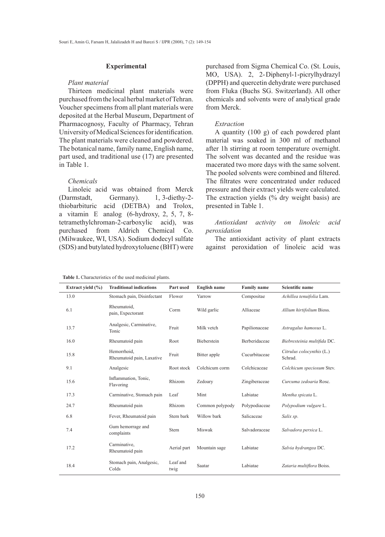## **Experimental**

## *Plant material*

Thirteen medicinal plant materials were purchased from the local herbal market of Tehran. Voucher specimens from all plant materials were deposited at the Herbal Museum, Department of Pharmacognosy, Faculty of Pharmacy, Tehran University of Medical Sciences for identification. The plant materials were cleaned and powdered. The botanical name, family name, English name, part used, and traditional use (17) are presented in Table 1.

### *Chemicals*

Linoleic acid was obtained from Merck (Darmstadt, Germany). 1, 3-diethy-2thiobarbituric acid (DETBA) and Trolox, a vitamin E analog (6-hydroxy, 2, 5, 7, 8 tetramethylchroman-2-carboxylic acid), was purchased from Aldrich Chemical Co. (Milwaukee, WI, USA). Sodium dodecyl sulfate (SDS) and butylated hydroxytoluene (BHT) were purchased from Sigma Chemical Co. (St. Louis, MO, USA). 2, 2-Diphenyl-1-picrylhydrazyl (DPPH) and quercetin dehydrate were purchased from Fluka (Buchs SG. Switzerland). All other chemicals and solvents were of analytical grade from Merck.

### *Extraction*

A quantity (100 g) of each powdered plant material was soaked in 300 ml of methanol after 1h stirring at room temperature overnight. The solvent was decanted and the residue was macerated two more days with the same solvent. The pooled solvents were combined and filtered. The filtrates were concentrated under reduced pressure and their extract yields were calculated. The extraction yields (% dry weight basis) are presented in Table 1.

# *Antioxidant activity on linoleic acid peroxidation*

The antioxidant activity of plant extracts against peroxidation of linoleic acid was

| <b>Table 1.</b> Characteristics of the used medicinal plants. |  |  |
|---------------------------------------------------------------|--|--|

| Extract yield $(\% )$ | <b>Traditional indications</b>           | Part used        | <b>English name</b> | <b>Family name</b>   | Scientific name                      |
|-----------------------|------------------------------------------|------------------|---------------------|----------------------|--------------------------------------|
| 13.0                  | Stomach pain, Disinfectant               | Flower           | Yarrow              | Compositae           | Achillea tenuifolia Lam.             |
| 6.1                   | Rheumatoid,<br>pain, Expectorant         | Corm             | Wild garlic         | Alliaceae            | Allium hirtifolium Bioss.            |
| 13.7                  | Analgesic, Carminative,<br>Tonic         | Fruit            | Milk vetch          | Papilionaceae        | Astragalus hamosus L.                |
| 16.0                  | Rheumatoid pain                          | Root             | Bieberstein         | <b>Berberidaceae</b> | Biebresteinia multifida DC.          |
| 15.8                  | Hemorrhoid,<br>Rheumatoid pain, Laxative | Fruit            | Bitter apple        | Cucurbitaceae        | Citrulus colocynthis (L.)<br>Schrad. |
| 9.1                   | Analgesic                                | Root stock       | Colchicum corm      | Colchicaceae         | Colchicum speciosum Stev.            |
| 15.6                  | Inflammation, Tonic,<br>Flavoring        | Rhizom           | Zedoary             | Zingiberaceae        | Curcuma zedoaria Rosc.               |
| 17.3                  | Carminative, Stomach pain                | Leaf             | Mint                | Labiatae             | Mentha spicata L.                    |
| 24.7                  | Rheumatoid pain                          | Rhizom           | Common polypody     | Polypodiaceae        | Polypodium vulgare L.                |
| 6.8                   | Fever, Rheumatoid pain                   | Stem bark        | Willow bark         | Salicaceae           | Salix sp.                            |
| 7.4                   | Gum hemorrage and<br>complaints          | Stem             | Miswak              | Salvadoraceae        | Salvadora persica L.                 |
| 17.2                  | Carminative,<br>Rheumatoid pain          | Aerial part      | Mountain sage       | Labiatae             | Salvia hydrangea DC.                 |
| 18.4                  | Stomach pain, Analgesic,<br>Colds        | Leaf and<br>twig | Saatar              | Labiatae             | Zataria multiflora Boiss.            |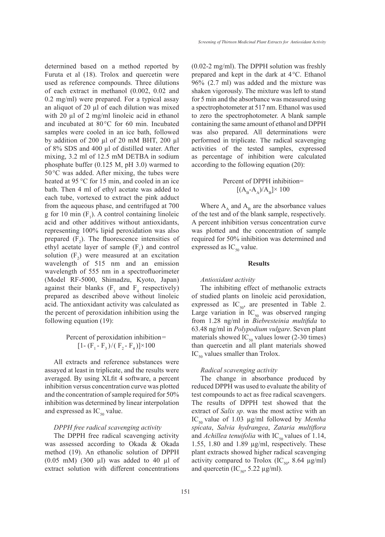determined based on a method reported by Furuta et al (18). Trolox and quercetin were used as reference compounds. Three dilutions of each extract in methanol (0.002, 0.02 and 0.2 mg/ml) were prepared. For a typical assay an aliquot of  $20 \mu l$  of each dilution was mixed with 20  $\mu$ l of 2 mg/ml linoleic acid in ethanol and incubated at 80°C for 60 min. Incubated samples were cooled in an ice bath, followed by addition of 200 µl of 20 mM BHT, 200 µl of 8% SDS and 400 µl of distilled water. After mixing, 3.2 ml of 12.5 mM DETBA in sodium phosphate buffer (0.125 M, pH 3.0) warmed to 50°C was added. After mixing, the tubes were heated at 95 °C for 15 min, and cooled in an ice bath. Then 4 ml of ethyl acetate was added to each tube, vortexed to extract the pink adduct from the aqueous phase, and centrifuged at 700 g for 10 min  $(F_1)$ . A control containing linoleic acid and other additives without antioxidants, representing 100% lipid peroxidation was also prepared  $(F_2)$ . The fluorescence intensities of ethyl acetate layer of sample  $(F_1)$  and control solution  $(F_2)$  were measured at an excitation wavelength of 515 nm and an emission wavelength of 555 nm in a spectrofluorimeter (Model RF-5000, Shimadzu, Kyoto, Japan) against their blanks ( $F_3$  and  $F_4$  respectively) prepared as described above without linoleic acid. The antioxidant activity was calculated as the percent of peroxidation inhibition using the following equation (19):

> Percent of peroxidation inhibition=  $[1 - (F_1 - F_3) / (F_2 - F_4)] \times 100$

All extracts and reference substances were assayed at least in triplicate, and the results were averaged. By using XLfit 4 software, a percent inhibition versus concentration curve was plotted and the concentration of sample required for 50% inhibition was determined by linear interpolation and expressed as  $IC_{50}$  value.

## *DPPH free radical scavenging activity*

The DPPH free radical scavenging activity was assessed according to Okada & Okada method (19). An ethanolic solution of DPPH  $(0.05$  mM)  $(300 \mu l)$  was added to 40  $\mu l$  of extract solution with different concentrations (0.02-2 mg/ml). The DPPH solution was freshly prepared and kept in the dark at 4°C. Ethanol 96% (2.7 ml) was added and the mixture was shaken vigorously. The mixture was left to stand for 5 min and the absorbance was measured using a spectrophotometer at 517 nm. Ethanol was used to zero the spectrophotometer. A blank sample containing the same amount of ethanol and DPPH was also prepared. All determinations were performed in triplicate. The radical scavenging activities of the tested samples, expressed as percentage of inhibition were calculated according to the following equation (20):

# Percent of DPPH inhibition=  $[(A_{\rm B}-A_{\rm A})/A_{\rm B}]\times 100$

Where  $A_{A}$  and  $A_{B}$  are the absorbance values of the test and of the blank sample, respectively. A percent inhibition versus concentration curve was plotted and the concentration of sample required for 50% inhibition was determined and expressed as  $IC_{50}$  value.

### **Results**

## *Antioxidant activity*

The inhibiting effect of methanolic extracts of studied plants on linoleic acid peroxidation, expressed as  $IC_{50}$ , are presented in Table 2. Large variation in  $IC_{50}$  was observed ranging from 1.28 ng/ml in *Biebresteinia multifida* to 63.48 ng/ml in *Polypodium vulgare*. Seven plant materials showed IC<sub>50</sub> values lower (2-30 times) than quercetin and all plant materials showed  $IC_{50}$  values smaller than Trolox.

#### *Radical scavenging activity*

The change in absorbance produced by reduced DPPH was used to evaluate the ability of test compounds to act as free radical scavengers. The results of DPPH test showed that the extract of *Salix sp*. was the most active with an IC<sub>50</sub> value of 1.03 µg/ml followed by *Mentha spicata*, *Salvia hydrangea*, *Zataria multiflora* and *Achillea tenuifolia* with  $IC_{50}$  values of 1.14, 1.55, 1.80 and 1.89 µg/ml, respectively. These plant extracts showed higher radical scavenging activity compared to Trolox (IC<sub>50</sub>, 8.64  $\mu$ g/ml) and quercetin (IC<sub>50</sub>, 5.22 µg/ml).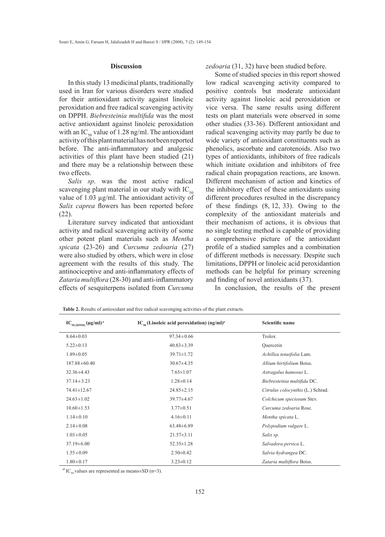## **Discussion**

In this study 13 medicinal plants, traditionally used in Iran for various disorders were studied for their antioxidant activity against linoleic peroxidation and free radical scavenging activity on DPPH. *Biebresteinia multifida* was the most active antioxidant against linoleic peroxidation with an IC<sub>50</sub> value of 1.28 ng/ml. The antioxidant activity of this plant material has not been reported before. The anti-inflammatory and analgesic activities of this plant have been studied (21) and there may be a relationship between these two effects.

*Salix sp*. was the most active radical scavenging plant material in our study with  $IC_{50}$ value of 1.03 µg/ml. The antioxidant activity of *Salix caprea* flowers has been reported before (22).

Literature survey indicated that antioxidant activity and radical scavenging activity of some other potent plant materials such as *Mentha spicata* (23-26) and *Curcuma zedoaria* (27) were also studied by others, which were in close agreement with the results of this study. The antinociceptive and anti-inflammatory effects of *Zataria multiflora* (28-30) and anti-inflammatory effects of sesquiterpens isolated from *Curcuma* 

*zedoaria* (31, 32) have been studied before.

Some of studied species in this report showed low radical scavenging activity compared to positive controls but moderate antioxidant activity against linoleic acid peroxidation or vice versa. The same results using different tests on plant materials were observed in some other studies (33-36). Different antioxidant and radical scavenging activity may partly be due to wide variety of antioxidant constituents such as phenolics, ascorbate and carotenoids. Also two types of antioxidants, inhibitors of free radicals which initiate oxidation and inhibitors of free radical chain propagation reactions, are known. Different mechanism of action and kinetics of the inhibitory effect of these antioxidants using different procedures resulted in the discrepancy of these findings (8, 12, 33). Owing to the complexity of the antioxidant materials and their mechanism of actions, it is obvious that no single testing method is capable of providing a comprehensive picture of the antioxidant profile of a studied samples and a combination of different methods is necessary. Despite such limitations, DPPH or linoleic acid peroxidantion methods can be helpful for primary screening and finding of novel antioxidants (37).

In conclusion, the results of the present

| $IC_{50(DPPH)}(\mu g/ml)^a$ | $IC_{so}$ (Linoleic acid peroxidation) (ng/ml) <sup>a</sup> | <b>Scientific name</b>            |
|-----------------------------|-------------------------------------------------------------|-----------------------------------|
| $8.64 \pm 0.03$             | $97.34 \pm 0.66$                                            | Trolox                            |
| $5.22 \pm 0.13$             | $40.83 \pm 3.39$                                            | Quercetin                         |
| $1.89 \pm 0.05$             | $39.71 \pm 1.72$                                            | Achillea tenuifolia Lam.          |
| $187.88 \pm 60.40$          | $30.67 \pm 4.35$                                            | Allium hirtifolium Boiss.         |
| $32.36 \pm 4.43$            | $7.65 \pm 1.07$                                             | Astragalus hamosus L.             |
| $37.14 \pm 3.23$            | $1.28 \pm 0.14$                                             | Biebresteinia multifida DC.       |
| 74.41±12.67                 | $24.85 \pm 2.15$                                            | Citrulus colocynthis (L.) Schrad. |
| $24.63 \pm 1.02$            | $39.77 \pm 4.67$                                            | Colchicum speciosum Stev.         |
| $10.60 \pm 1.53$            | $3.77 \pm 0.51$                                             | Curcuma zedoaria Rosc.            |
| $1.14 \pm 0.10$             | $4.16\pm0.11$                                               | Mentha spicata L.                 |
| $2.14 \pm 0.08$             | $63.48 \pm 6.89$                                            | Polypodium vulgare L.             |
| $1.03 \pm 0.05$             | $21.57 \pm 3.11$                                            | Salix sp.                         |
| $37.19 \pm 6.00$            | $52.35 \pm 1.28$                                            | Salvadora persica L.              |
| $1.55 \pm 0.09$             | $2.50 \pm 0.42$                                             | Salvia hydrangea DC.              |
| $1.80 \pm 0.17$             | $3.23 \pm 0.12$                                             | Zataria multiflora Boiss.         |

**Table 2.** Results of antioxidant and free radical scavenging activities of the plant extracts.

 $^{a}$  IC<sub>50</sub> values are represented as means $\pm$ SD (n=3).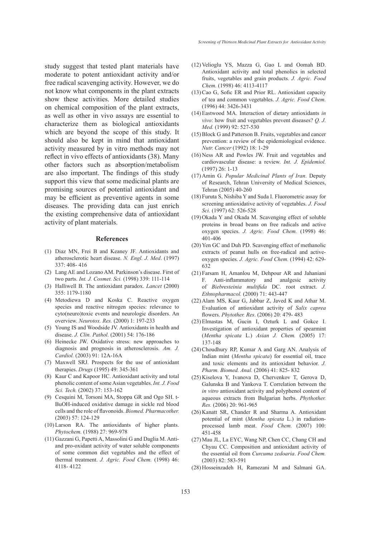study suggest that tested plant materials have moderate to potent antioxidant activity and/or free radical scavenging activity. However, we do not know what components in the plant extracts show these activities. More detailed studies on chemical composition of the plant extracts, as well as other in vivo assays are essential to characterize them as biological antioxidants which are beyond the scope of this study. It should also be kept in mind that antioxidant activity measured by in vitro methods may not reflect in vivo effects of antioxidants (38). Many other factors such as absorption/metabolism are also important. The findings of this study support this view that some medicinal plants are promising sources of potential antioxidant and may be efficient as preventive agents in some diseases. The providing data can just enrich the existing comprehensive data of antioxidant activity of plant materials.

## **References**

- Diaz MN, Frei B and Keaney JF. Antioxidants and (1) atherosclerotic heart disease. *N. Engl. J. Med*. (1997) 337: 408- 416
- Lang AE and Lozano AM. Parkinson's disease. First of (2) two parts. *Int. J. Cosmet. Sci.* (1998) 339: 111-114
- Halliwell B. The antioxidant paradox. *Lancet* (2000) (3) 355: 1179-1180
- (4) Metodiewa D and Koska C. Reactive oxygen species and reactive nitrogen species: relevance to cyto(neuro)toxic events and neurologic disorders. An overview. *Neurotox. Res.* (2000) 1: 197-233
- (5) Young IS and Woodside JV. Antioxidants in health and disease. *J. Clin. Pathol.* (2001) 54: 176-186
- (6) Heinecke JW. Oxidative stress: new approaches to diagnosis and prognosis in atherosclerosis. *Am. J. Cardiol.* (2003) 91: 12A-16A
- (7) Maxwell SRJ. Prospects for the use of antioxidant therapies. *Drugs* (1995) 49: 345-361
- (8) Kaur C and Kapoor HC. Antioxidant activity and total phenolic content of some Asian vegetables. *Int. J. Food Sci. Tech.* (2002) 37: 153-162
- Cesquini M, Torsoni MA, Stoppa GR and Ogo SH. t-(9) BuOH-induced oxidative damage in sickle red blood cells and the role of flavonoids. *Biomed. Pharmacother.* (2003) 57: 124-129
- (10) Larson RA. The antioxidants of higher plants. *Phytochem.* (1988) 27: 969-978
- (11) Gazzani G, Papetti A, Massolini G and Daglia M. Antiand pro-oxidant activity of water soluble components of some common diet vegetables and the effect of thermal treatment. *J. Agric. Food Chem.* (1998) 46: 4118- 4122
- $(12)$  Velioglu YS, Mazza G, Gao L and Oomah BD. Antioxidant activity and total phenolics in selected fruits, vegetables and grain products. *J. Agric. Food Chem.* (1998) 46: 4113-4117
- $(13)$  Cao G, Sofic ER and Prior RL. Antioxidant capacity of tea and common vegetables. *J. Agric. Food Chem.* (1996) 44: 3426-3431
- Eastwood MA. Interaction of dietary antioxidants *in*  (14) *vivo*: how fruit and vegetables prevent diseases? *Q. J. Med.* (1999) 92: 527-530
- (15) Block G and Patterson B. Fruits, vegetables and cancer prevention: a review of the epidemiological evidence. *Nutr. Cancer* (1992) 18: 1-29
- $(16)$  Ness AR and Powles JW. Fruit and vegetables and cardiovascular disease: a review. *Int. J. Epidemiol.* (1997) 26: 1-13
- (17) Amin G. *Popular Medicinal Plants of Iran*. Deputy of Research, Tehran University of Medical Sciences, Tehran (2005) 40-260
- Furuta S, Nishiba Y and Suda I. Fluorometric assay for (18) screening antioxidative activity of vegetables. *J. Food Sci.* (1997) 62: 526-528
- $(19)$  Okada Y and Okada M. Scavenging effect of soluble proteins in broad beans on free radicals and active oxygen species. *J. Agric. Food Chem.* (1998) 46: 401-406
- (20) Yen GC and Duh PD. Scavenging effect of methanolic extracts of peanut hulls on free-radical and activeoxygen species. *J. Agric. Food Chem.* (1994) 42: 629- 632
- Farsam H, Amanlou M, Dehpour AR and Jahaniani (21) F. Anti-inflammatory and analgesic activity of *Biebresteinia multifida* DC. root extract. *J. Ethnopharmacol.* (2000) 71: 443-447
- $(22)$  Alam MS, Kaur G, Jabbar Z, Javed K and Athar M. Evaluation of antioxidant activity of *Salix caprea* flowers. *Phytother. Res*. (2006) 20: 479- 483
- Elmastas M, Gucin I, Ozturk L and Gokce I. (23) Investigation of antioxidant properties of spearmint (*Mentha spicata* L.) *Asian J. Chem.* (2005) 17: 137-148
- (24) Choudhury RP, Kumar A and Garg AN. Analysis of Indian mint (*Mentha spicata*) for essential oil, trace and toxic elements and its antioxidant behavior. *J. Pharm. Biomed. Anal.* (2006) 41: 825- 832
- (25) Kiselova Y, Ivanova D, Chervenkov T, Gerova D, Galunska B and Yankova T. Correlation between the *in vitro* antioxidant activity and polyphenol content of aqueous extracts from Bulgarian herbs. *Phythother. Res.* (2006) 20: 961-965
- $(26)$  Kanatt SR, Chander R and Sharma A. Antioxidant potential of mint (*Mentha spicata* L.) in radiationprocessed lamb meat. *Food Chem.* (2007) 100: 451-458
- (27) Mau JL, La EYC, Wang NP, Chen CC, Chang CH and Chyau CC. Composition and antioxidant activity of the essential oil from *Curcuma zedoaria*. *Food Chem.* (2003) 82: 583-591
- (28) Hosseinzadeh H, Ramezani M and Salmani GA.